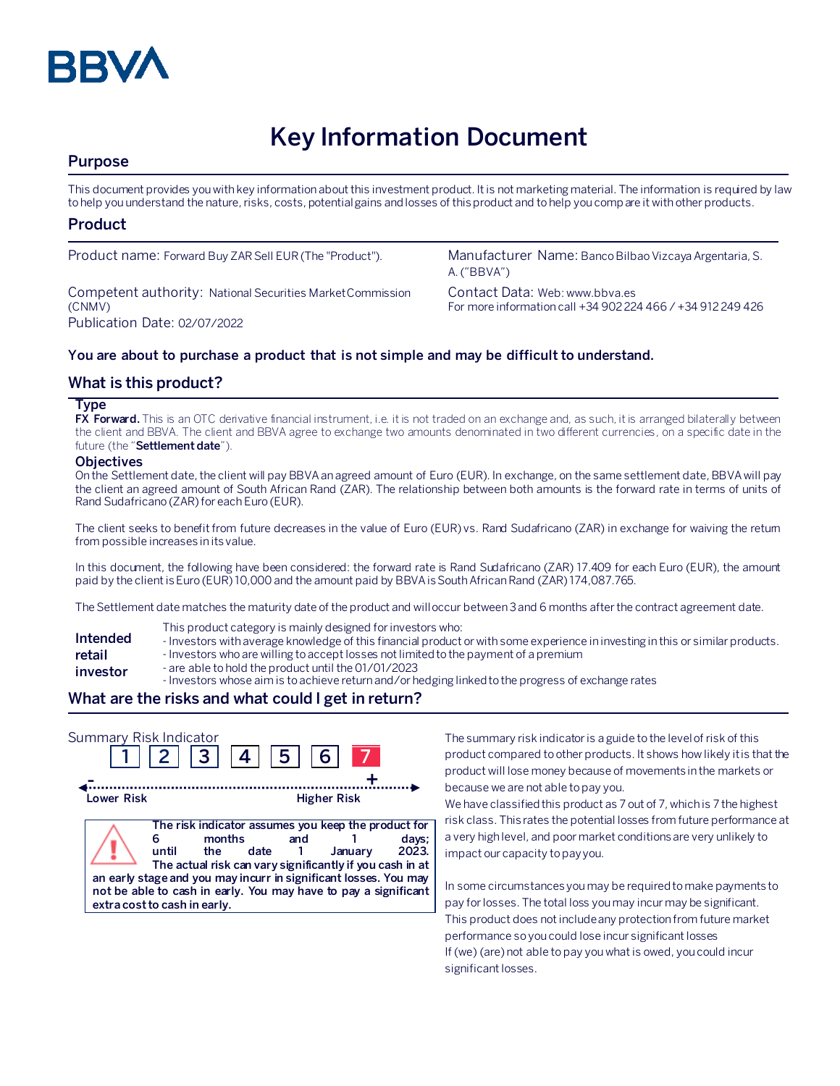

# **Key Information Document**

## **Purpose**

This document provides you with key information about this investment product. It is not marketing material. The information is required by law to help you understand the nature, risks, costs, potential gains and losses of this product and to help you compare it with other products.

#### **Product**

Competent authority: National Securities Market Commission (CNMV) Publication Date: 02/07/2022

Product name: Forward Buy ZAR Sell EUR (The "Product"). Manufacturer Name: Banco Bilbao Vizcaya Argentaria, S. A. ("BBVA")

> Contact Data: Web: www.bbva.es For more information call +34 902 224 466 / +34 912 249 426

#### **You are about to purchase a product that is not simple and may be difficult to understand.**

#### **What is this product?**

#### **Type**

**FX Forward.** This is an OTC derivative financial instrument, i.e. it is not traded on an exchange and, as such, it is arranged bilaterally between the client and BBVA. The client and BBVA agree to exchange two amounts denominated in two different currencies, on a specific date in the future (the "**Settlement date**").

#### **Objectives**

On the Settlement date, the client will pay BBVA an agreed amount of Euro (EUR). In exchange, on the same settlement date, BBVA will pay the client an agreed amount of South African Rand (ZAR). The relationship between both amounts is the forward rate in terms of units of Rand Sudafricano (ZAR) for each Euro (EUR).

The client seeks to benefit from future decreases in the value of Euro (EUR) vs. Rand Sudafricano (ZAR) in exchange for waiving the retum from possible increases in its value.

In this document, the following have been considered: the forward rate is Rand Sudafricano (ZAR) 17.409 for each Euro (EUR), the amount paid by the client is Euro (EUR) 10,000 and the amount paid by BBVA is South African Rand (ZAR) 174,087.765.

The Settlement date matches the maturity date of the product and will occur between 3 and 6 months after the contract agreement date.

- This product category is mainly designed for investors who:
- **Intended**  - Investors with average knowledge of this financial product or with some experience in investing in this or similar products.
- **retail**  - Investors who are willing to accept losses not limited to the payment of a premium
- **investor** - are able to hold the product until the 01/01/2023
	- Investors whose aim is to achieve return and/or hedging linked to the progress of exchange rates

## **What are the risks and what could I get in return?**

| Summary Risk Indicator | 2  3  4                                                                                                                                                                                                                                                                                                                  | 5  <br>6.          |         |                |
|------------------------|--------------------------------------------------------------------------------------------------------------------------------------------------------------------------------------------------------------------------------------------------------------------------------------------------------------------------|--------------------|---------|----------------|
| Lower Risk             |                                                                                                                                                                                                                                                                                                                          | <b>Higher Risk</b> |         |                |
|                        | The risk indicator assumes you keep the product for<br>months<br>until<br>the<br>date<br>The actual risk can vary significantly if you cash in at<br>an early stage and you may incurr in significant losses. You may<br>not be able to cash in early. You may have to pay a significant<br>extra cost to cash in early. | and                | January | days;<br>2023. |

The summary risk indicator is a guide to the level of risk of this product compared to other products. It shows how likely it is that the product will lose money because of movements in the markets or because we are not able to pay you.

We have classified this product as 7 out of 7, which is 7 the highest risk class. This rates the potential losses from future performance at a very high level, and poor market conditions are very unlikely to impact our capacity to pay you.

In some circumstances you may be required to make payments to pay for losses. The total loss you may incur may be significant. This product does not include any protection from future market performance so you could lose incur significant losses If (we) (are) not able to pay you what is owed, you could incur significant losses.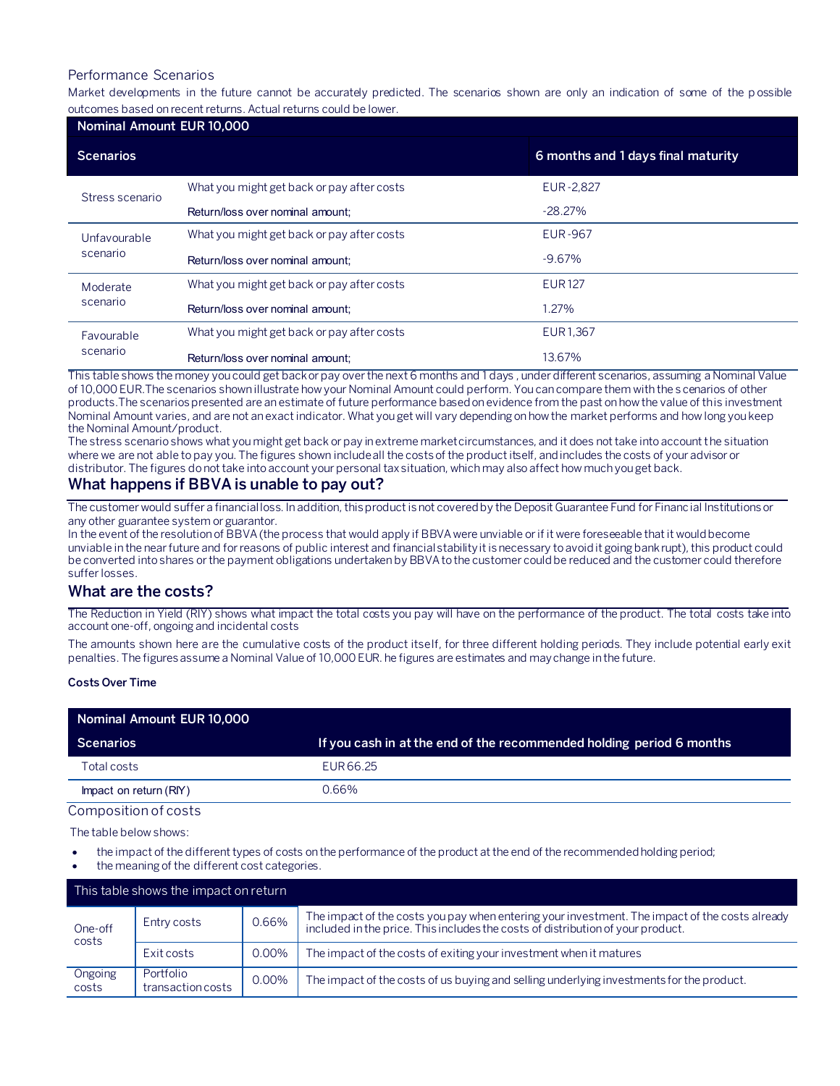#### Performance Scenarios

Market developments in the future cannot be accurately predicted. The scenarios shown are only an indication of some of the p ossible outcomes based on recent returns. Actual returns could be lower.

| Nominal Amount EUR 10,000 |                                            |                                    |  |  |
|---------------------------|--------------------------------------------|------------------------------------|--|--|
| <b>Scenarios</b>          |                                            | 6 months and 1 days final maturity |  |  |
| Stress scenario           | What you might get back or pay after costs | EUR-2,827                          |  |  |
|                           | Return/loss over nominal amount:           | $-28.27%$                          |  |  |
| Unfavourable<br>scenario  | What you might get back or pay after costs | <b>EUR-967</b>                     |  |  |
|                           | Return/loss over nominal amount:           | $-9.67%$                           |  |  |
| Moderate<br>scenario      | What you might get back or pay after costs | <b>EUR127</b>                      |  |  |
|                           | Return/loss over nominal amount:           | 1.27%                              |  |  |
| Favourable<br>scenario    | What you might get back or pay after costs | <b>EUR1.367</b>                    |  |  |
|                           | Return/loss over nominal amount:           | 13.67%                             |  |  |

This table shows the money you could get back or pay over the next 6 months and 1 days , under different scenarios, assuming a Nominal Value of 10,000 EUR.The scenarios shown illustrate how your Nominal Amount could perform. You can compare them with the s cenarios of other products.The scenarios presented are an estimate of future performance based on evidence from the past on how the value of this investment Nominal Amount varies, and are not an exact indicator. What you get will vary depending on how the market performs and how long you keep the Nominal Amount/product.

The stress scenario shows what you might get back or pay in extreme market circumstances, and it does not take into account the situation where we are not able to pay you. The figures shown include all the costs of the product itself, and includes the costs of your advisor or distributor. The figures do not take into account your personal tax situation, which may also affect how much you get back.

## **What happens if BBVA is unable to pay out?**

The customer would suffer a financial loss. In addition, this product is not covered by the Deposit Guarantee Fund for Financial Institutions or any other guarantee system or guarantor.

In the event of the resolution of BBVA (the process that would apply if BBVA were unviable or if it were foreseeable that it would become unviable in the near future and for reasons of public interest and financial stability it is necessary to avoid it going bankrupt), this product could be converted into shares or the payment obligations undertaken by BBVA to the customer could be reduced and the customer could therefore suffer losses.

#### **What are the costs?**

The Reduction in Yield (RIY) shows what impact the total costs you pay will have on the performance of the product. The total costs take into account one-off, ongoing and incidental costs

The amounts shown here are the cumulative costs of the product itself, for three different holding periods. They include potential early exit penalties. The figures assume a Nominal Value of 10,000 EUR. he figures are estimates and may change in the future.

#### **Costs Over Time**

| Nominal Amount EUR 10,000 |                                                                      |  |  |  |
|---------------------------|----------------------------------------------------------------------|--|--|--|
| Scenarios                 | If you cash in at the end of the recommended holding period 6 months |  |  |  |
| Total costs               | EUR 66.25                                                            |  |  |  |
| Impact on return (RIY)    | 0.66%                                                                |  |  |  |
| Composition of costs      |                                                                      |  |  |  |

The table below shows:

- the impact of the different types of costs on the performance of the product at the end of the recommended holding period;
- the meaning of the different cost categories.

| This table shows the impact on return |                                |          |                                                                                                                                                                                   |  |
|---------------------------------------|--------------------------------|----------|-----------------------------------------------------------------------------------------------------------------------------------------------------------------------------------|--|
| One-off<br>costs                      | Entry costs                    | 0.66%    | The impact of the costs you pay when entering your investment. The impact of the costs already<br>included in the price. This includes the costs of distribution of your product. |  |
|                                       | Exit costs                     | 0.00%    | The impact of the costs of exiting your investment when it matures                                                                                                                |  |
| Ongoing<br>costs                      | Portfolio<br>transaction costs | $0.00\%$ | The impact of the costs of us buying and selling underlying investments for the product.                                                                                          |  |